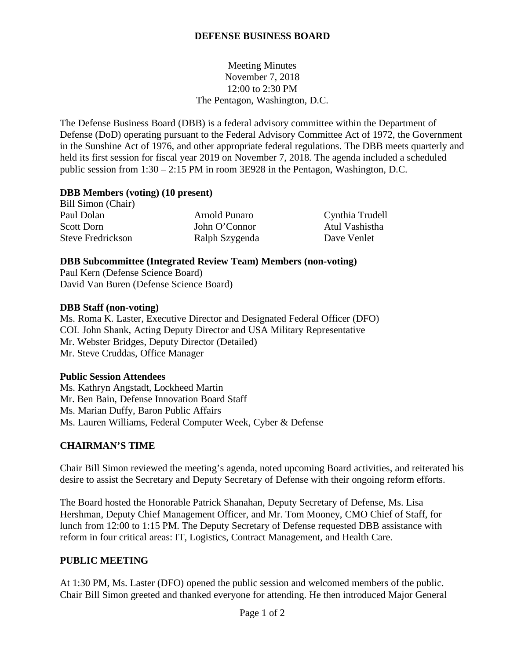# **DEFENSE BUSINESS BOARD**

Meeting Minutes November 7, 2018 12:00 to 2:30 PM The Pentagon, Washington, D.C.

The Defense Business Board (DBB) is a federal advisory committee within the Department of Defense (DoD) operating pursuant to the Federal Advisory Committee Act of 1972, the Government in the Sunshine Act of 1976, and other appropriate federal regulations. The DBB meets quarterly and held its first session for fiscal year 2019 on November 7, 2018. The agenda included a scheduled public session from 1:30 – 2:15 PM in room 3E928 in the Pentagon, Washington, D.C.

#### **DBB Members (voting) (10 present)**

Bill Simon (Chair) Paul Dolan **Arnold Punaro** Cynthia Trudell Scott Dorn John O'Connor Atul Vashistha Steve Fredrickson Ralph Szygenda Dave Venlet

#### **DBB Subcommittee (Integrated Review Team) Members (non-voting)**

Paul Kern (Defense Science Board) David Van Buren (Defense Science Board)

#### **DBB Staff (non-voting)**

Ms. Roma K. Laster, Executive Director and Designated Federal Officer (DFO) COL John Shank, Acting Deputy Director and USA Military Representative Mr. Webster Bridges, Deputy Director (Detailed) Mr. Steve Cruddas, Office Manager

## **Public Session Attendees**

Ms. Kathryn Angstadt, Lockheed Martin Mr. Ben Bain, Defense Innovation Board Staff Ms. Marian Duffy, Baron Public Affairs Ms. Lauren Williams, Federal Computer Week, Cyber & Defense

## **CHAIRMAN'S TIME**

Chair Bill Simon reviewed the meeting's agenda, noted upcoming Board activities, and reiterated his desire to assist the Secretary and Deputy Secretary of Defense with their ongoing reform efforts.

The Board hosted the Honorable Patrick Shanahan, Deputy Secretary of Defense, Ms. Lisa Hershman, Deputy Chief Management Officer, and Mr. Tom Mooney, CMO Chief of Staff, for lunch from 12:00 to 1:15 PM. The Deputy Secretary of Defense requested DBB assistance with reform in four critical areas: IT, Logistics, Contract Management, and Health Care.

## **PUBLIC MEETING**

At 1:30 PM, Ms. Laster (DFO) opened the public session and welcomed members of the public. Chair Bill Simon greeted and thanked everyone for attending. He then introduced Major General